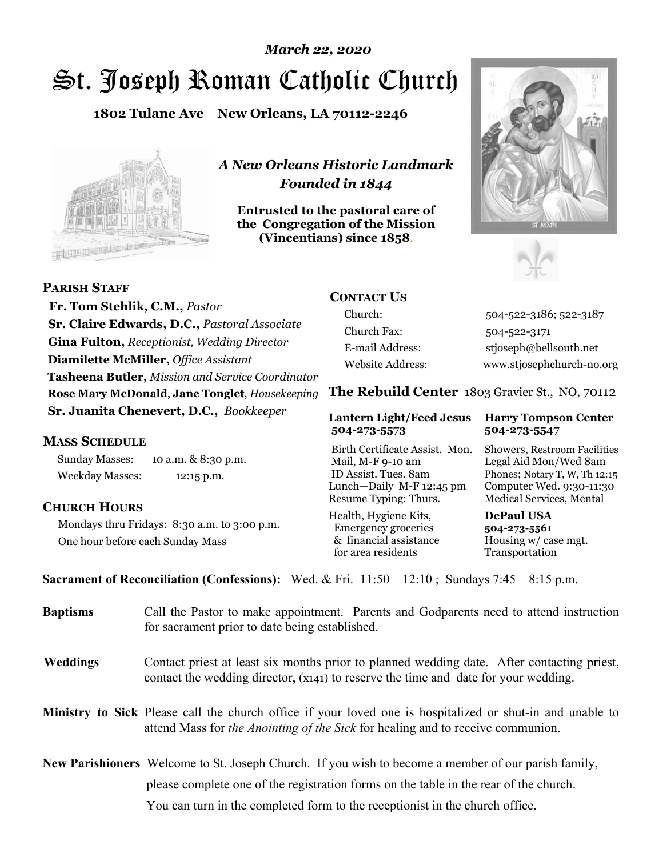# St. Joseph Roman Catholic Church *March 22, 2020*

**1802 Tulane Ave New Orleans, LA 70112-2246**



*A New Orleans Historic Landmark Founded in 1844* 

**Entrusted to the pastoral care of the Congregation of the Mission (Vincentians) since 1858**.





 **Fr. Tom Stehlik, C.M.,** *Pastor* **Sr. Claire Edwards, D.C.,** *Pastoral Associate* **Gina Fulton,** *Receptionist, Wedding Director* **Diamilette McMiller,** *Office Assistant* **Tasheena Butler,** *Mission and Service Coordinator* **Rose Mary McDonald**, **Jane Tonglet**, *Housekeeping* **Sr. Juanita Chenevert, D.C.,** *Bookkeeper* 

#### **MASS SCHEDULE**

**PARISH STAFF**

Sunday Masses: 10 a.m. & 8:30 p.m. Weekday Masses: 12:15 p.m.

#### **CHURCH HOURS**

Mondays thru Fridays: 8:30 a.m. to 3:00 p.m. One hour before each Sunday Mass

### **CONTACT US**

Church: 504-522-3186; 522-3187 Church Fax: 504-522-3171 E-mail Address: stjoseph@bellsouth.net Website Address: www.stjosephchurch-no.org

**The Rebuild Center** 1803 Gravier St., NO, 70112

#### **Lantern Light/Feed Jesus Harry Tompson Center 504-273-5573 504-273-5547**

Birth Certificate Assist. Mon. Showers, Restroom Facilities Mail, M-F 9-10 am Legal Aid Mon/Wed 8am ID Assist. Tues. 8am Phones; Notary T, W, Th 12:15 Lunch—Daily M-F 12:45 pm Computer Wed. 9:30-11:30 Resume Typing: Thurs. Medical Services, Mental

Health, Hygiene Kits, **DePaul USA**  Emergency groceries **504-273-5561** & financial assistance Housing w/ case mgt. for area residents Transportation

**Sacrament of Reconciliation (Confessions):** Wed. & Fri. 11:50—12:10 ; Sundays 7:45—8:15 p.m.

| <b>Baptisms</b> | Call the Pastor to make appointment. Parents and Godparents need to attend instruction<br>for sacrament prior to date being established.                                                                   |
|-----------------|------------------------------------------------------------------------------------------------------------------------------------------------------------------------------------------------------------|
| <b>Weddings</b> | Contact priest at least six months prior to planned wedding date. After contacting priest,<br>contact the wedding director, (x141) to reserve the time and date for your wedding.                          |
|                 | <b>Ministry to Sick</b> Please call the church office if your loved one is hospitalized or shut-in and unable to<br>attend Mass for <i>the Anointing of the Sick</i> for healing and to receive communion. |
|                 | <b>New Parishioners</b> Welcome to St. Joseph Church. If you wish to become a member of our parish family,<br>please complete one of the registration forms on the table in the rear of the church.        |
|                 | You can turn in the completed form to the receptionist in the church office.                                                                                                                               |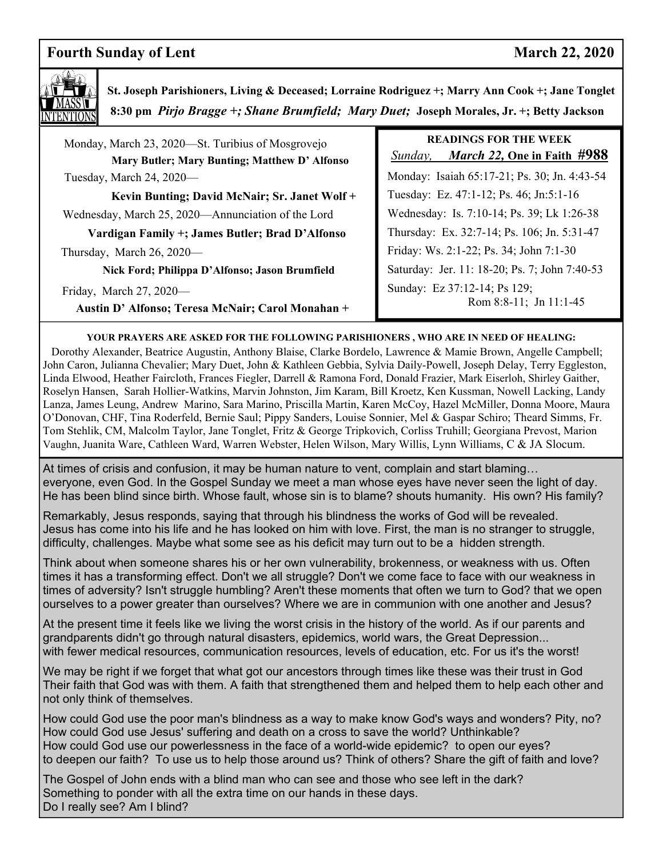### **Fourth Sunday of Lent** March 22, 2020



 **St. Joseph Parishioners, Living & Deceased; Lorraine Rodriguez +; Marry Ann Cook +; Jane Tonglet 8:30 pm** *Pirjo Bragge +; Shane Brumfield; Mary Duet;* **Joseph Morales, Jr. +; Betty Jackson**

 Monday, March 23, 2020—St. Turibius of Mosgrovejo **Mary Butler; Mary Bunting; Matthew D' Alfonso**  Tuesday, March 24, 2020— **Kevin Bunting; David McNair; Sr. Janet Wolf +** Wednesday, March 25, 2020—Annunciation of the Lord **Vardigan Family +; James Butler; Brad D'Alfonso** Thursday, March 26, 2020—

**Nick Ford; Philippa D'Alfonso; Jason Brumfield** 

Friday, March 27, 2020—

**Austin D' Alfonso; Teresa McNair; Carol Monahan +**

## **READINGS FOR THE WEEK**

 *Sunday, March 22,* **One in Faith #988** Monday: Isaiah 65:17-21; Ps. 30; Jn. 4:43-54 Tuesday: Ez. 47:1-12; Ps. 46; Jn:5:1-16 Wednesday: Is. 7:10-14; Ps. 39; Lk 1:26-38 Thursday: Ex. 32:7-14; Ps. 106; Jn. 5:31-47 Friday: Ws. 2:1-22; Ps. 34; John 7:1-30 Saturday: Jer. 11: 18-20; Ps. 7; John 7:40-53 Sunday: Ez 37:12-14; Ps 129; Rom 8:8-11; Jn 11:1-45

#### **YOUR PRAYERS ARE ASKED FOR THE FOLLOWING PARISHIONERS , WHO ARE IN NEED OF HEALING:**

 Dorothy Alexander, Beatrice Augustin, Anthony Blaise, Clarke Bordelo, Lawrence & Mamie Brown, Angelle Campbell; John Caron, Julianna Chevalier; Mary Duet, John & Kathleen Gebbia, Sylvia Daily-Powell, Joseph Delay, Terry Eggleston, Linda Elwood, Heather Faircloth, Frances Fiegler, Darrell & Ramona Ford, Donald Frazier, Mark Eiserloh, Shirley Gaither, Roselyn Hansen, Sarah Hollier-Watkins, Marvin Johnston, Jim Karam, Bill Kroetz, Ken Kussman, Nowell Lacking, Landy Lanza, James Leung, Andrew Marino, Sara Marino, Priscilla Martin, Karen McCoy, Hazel McMiller, Donna Moore, Maura O'Donovan, CHF, Tina Roderfeld, Bernie Saul; Pippy Sanders, Louise Sonnier, Mel & Gaspar Schiro; Theard Simms, Fr. Tom Stehlik, CM, Malcolm Taylor, Jane Tonglet, Fritz & George Tripkovich, Corliss Truhill; Georgiana Prevost, Marion Vaughn, Juanita Ware, Cathleen Ward, Warren Webster, Helen Wilson, Mary Willis, Lynn Williams, C & JA Slocum.

At times of crisis and confusion, it may be human nature to vent, complain and start blaming… He has been blind since birth. Whose fault, whose sin is to blame? shouts humanity. His own? His family? everyone, even God. In the Gospel Sunday we meet a man whose eyes have never seen the light of day.

Sanctuary Candle in memory of someone or for a special intention, please call the church office (522-3186). The Sanctuary Remarkably, Jesus responds, saying that through his blindness the works of God will be revealed. Jesus has come into his life and he has looked on him with love. First, the man is no stranger to struggle, difficulty, challenges. Maybe what some see as his deficit may turn out to be a hidden strength.

Think about when someone shares his or her own vulnerability, brokenness, or weakness with us. Often times it has a transforming effect. Don't we all struggle? Don't we come face to face with our weakness in times of adversity? Isn't struggle humbling? Aren't these moments that often we turn to God? that we open ourselves to a power greater than ourselves? Where we are in communion with one another and Jesus?

At the present time it feels like we living the worst crisis in the history of the world. As if our parents and grandparents didn't go through natural disasters, epidemics, world wars, the Great Depression... with fewer medical resources, communication resources, levels of education, etc. For us it's the worst!

We may be right if we forget that what got our ancestors through times like these was their trust in God Their faith that God was with them. A faith that strengthened them and helped them to help each other and not only think of themselves.

How could God use the poor man's blindness as a way to make know God's ways and wonders? Pity, no? How could God use Jesus' suffering and death on a cross to save the world? Unthinkable? How could God use our powerlessness in the face of a world-wide epidemic? to open our eyes? to deepen our faith? To use us to help those around us? Think of others? Share the gift of faith and love?

The Gospel of John ends with a blind man who can see and those who see left in the dark? Something to ponder with all the extra time on our hands in these days. Do I really see? Am I blind?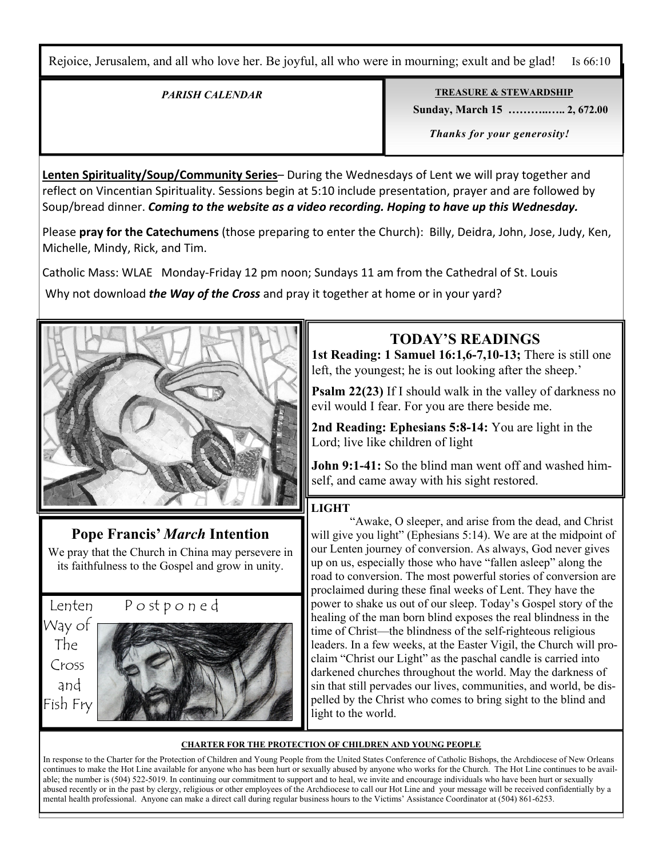Rejoice, Jerusalem, and all who love her. Be joyful, all who were in mourning; exult and be glad! Is 66:10

#### *PARISH CALENDAR*

**TREASURE & STEWARDSHIP**

 **Sunday, March 15 ………..….. 2, 672.00** 

 *Thanks for your generosity!* 

**Lenten Spirituality/Soup/Community Series**– During the Wednesdays of Lent we will pray together and reflect on Vincentian Spirituality. Sessions begin at 5:10 include presentation, prayer and are followed by Soup/bread dinner. *Coming to the website as a video recording. Hoping to have up this Wednesday.*

Please **pray for the Catechumens** (those preparing to enter the Church): Billy, Deidra, John, Jose, Judy, Ken, Michelle, Mindy, Rick, and Tim.

Catholic Mass: WLAE Monday-Friday 12 pm noon; Sundays 11 am from the Cathedral of St. Louis

Why not download *the Way of the Cross* and pray it together at home or in your yard?



### **Pope Francis'** *March* **Intention**

We pray that the Church in China may persevere in its faithfulness to the Gospel and grow in unity.

Way of The Cross and Fish Fry

í



## **TODAY'S READINGS**

**1st Reading: 1 Samuel 16:1,6-7,10-13;** There is still one left, the youngest; he is out looking after the sheep.'

**Psalm 22(23)** If I should walk in the valley of darkness no evil would I fear. For you are there beside me.

**2nd Reading: Ephesians 5:8-14:** You are light in the Lord; live like children of light

**John 9:1-41:** So the blind man went off and washed himself, and came away with his sight restored.

#### **LIGHT**

 "Awake, O sleeper, and arise from the dead, and Christ will give you light" (Ephesians 5:14). We are at the midpoint of our Lenten journey of conversion. As always, God never gives up on us, especially those who have "fallen asleep" along the road to conversion. The most powerful stories of conversion are proclaimed during these final weeks of Lent. They have the power to shake us out of our sleep. Today's Gospel story of the healing of the man born blind exposes the real blindness in the time of Christ—the blindness of the self-righteous religious leaders. In a few weeks, at the Easter Vigil, the Church will proclaim "Christ our Light" as the paschal candle is carried into darkened churches throughout the world. May the darkness of sin that still pervades our lives, communities, and world, be dispelled by the Christ who comes to bring sight to the blind and light to the world.

#### **CHARTER FOR THE PROTECTION OF CHILDREN AND YOUNG PEOPLE**

In response to the Charter for the Protection of Children and Young People from the United States Conference of Catholic Bishops, the Archdiocese of New Orleans continues to make the Hot Line available for anyone who has been hurt or sexually abused by anyone who works for the Church. The Hot Line continues to be available; the number is (504) 522-5019. In continuing our commitment to support and to heal, we invite and encourage individuals who have been hurt or sexually abused recently or in the past by clergy, religious or other employees of the Archdiocese to call our Hot Line and your message will be received confidentially by a mental health professional. Anyone can make a direct call during regular business hours to the Victims' Assistance Coordinator at (504) 861-6253.